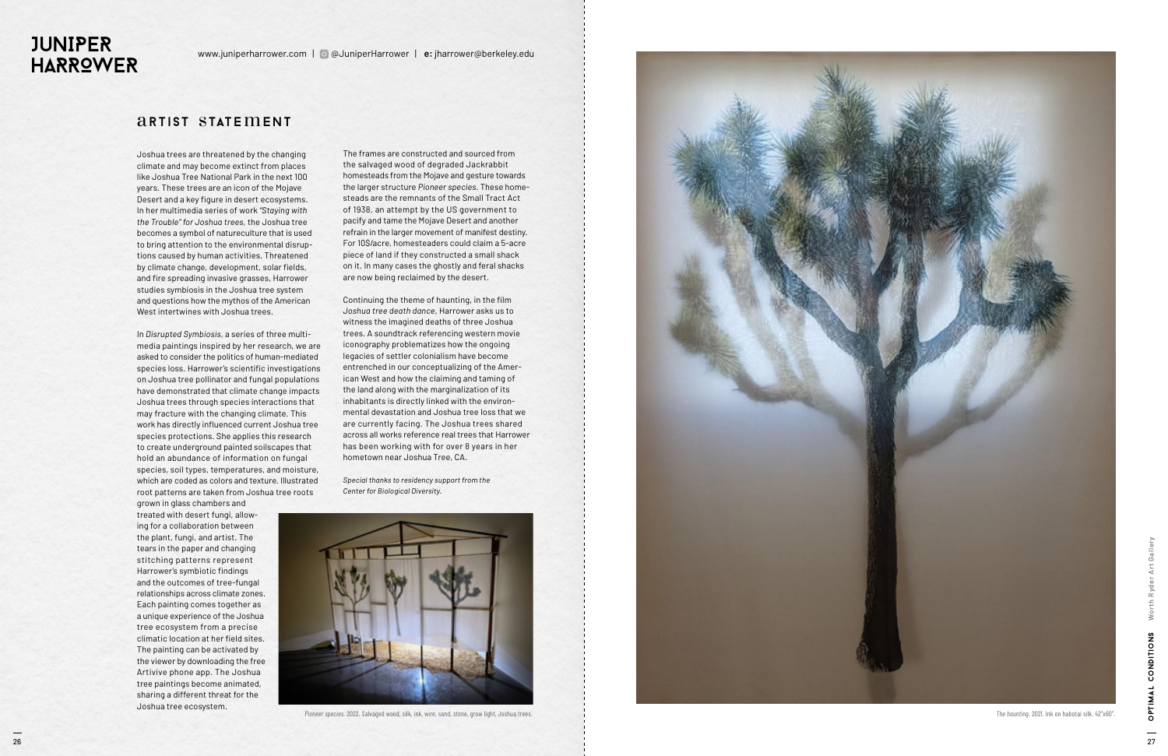## www.juniperharrower.com | @JuniperHarrower | **e:** jharrower@berkeley.edu

Joshua trees are threatened by the changing climate and may become extinct from places like Joshua Tree National Park in the next 100 years. These trees are an icon of the Mojave Desert and a key figure in desert ecosystems. In her multimedia series of work *"Staying with the Trouble" for Joshua trees*, the Joshua tree becomes a symbol of natureculture that is used to bring attention to the environmental disrup tions caused by human activities. Threatened by climate change, development, solar fields, and fire spreading invasive grasses, Harrower studies symbiosis in the Joshua tree system and questions how the mythos of the American West intertwines with Joshua trees.

In *Disrupted Symbiosis*, a series of three multi media paintings inspired by her research, we are asked to consider the politics of human-mediated species loss. Harrower's scientific investigations on Joshua tree pollinator and fungal populations have demonstrated that climate change impacts Joshua trees through species interactions that may fracture with the changing climate. This work has directly influenced current Joshua tree species protections. She applies this research to create underground painted soilscapes that hold an abundance of information on fungal species, soil types, temperatures, and moisture, which are coded as colors and texture. Illustrated root patterns are taken from Joshua tree roots

grown in glass chambers and treated with desert fungi, allow ing for a collaboration between the plant, fungi, and artist. The tears in the paper and changing stitching patterns represent Harrower's symbiotic findings and the outcomes of tree-fungal relationships across climate zones. Each painting comes together as a unique experience of the Joshua tree ecosystem from a precise climatic location at her field sites. The painting can be activated by the viewer by downloading the free Artivive phone app. The Joshua tree paintings become animated, sharing a different threat for the Joshua tree ecosystem.

The frames are constructed and sourced from the salvaged wood of degraded Jackrabbit homesteads from the Mojave and gesture towards the larger structure *Pioneer species*. These homesteads are the remnants of the Small Tract Act of 1938, an attempt by the US government to pacify and tame the Mojave Desert and another refrain in the larger movement of manifest destiny. For 10\$/acre, homesteaders could claim a 5-acre piece of land if they constructed a small shack on it. In many cases the ghostly and feral shacks are now being reclaimed by the desert.

Continuing the theme of haunting, in the film *Joshua tree death dance*, Harrower asks us to witness the imagined deaths of three Joshua trees. A soundtrack referencing western movie iconography problematizes how the ongoing legacies of settler colonialism have become entrenched in our conceptualizing of the American West and how the claiming and taming of the land along with the marginalization of its inhabitants is directly linked with the environmental devastation and Joshua tree loss that we are currently facing. The Joshua trees shared across all works reference real trees that Harrower has been working with for over 8 years in her hometown near Joshua Tree, CA.

*Special thanks to residency support from the Center for Biological Diversity.*

## J uNIPER HARROWER

## artist Statement



*Pioneer species.* 2022. Salvaged wood, silk, ink, wire, sand, stone, grow light, Joshua trees.



*The haunting*. 2021. Ink on habotai silk. 42"x60".